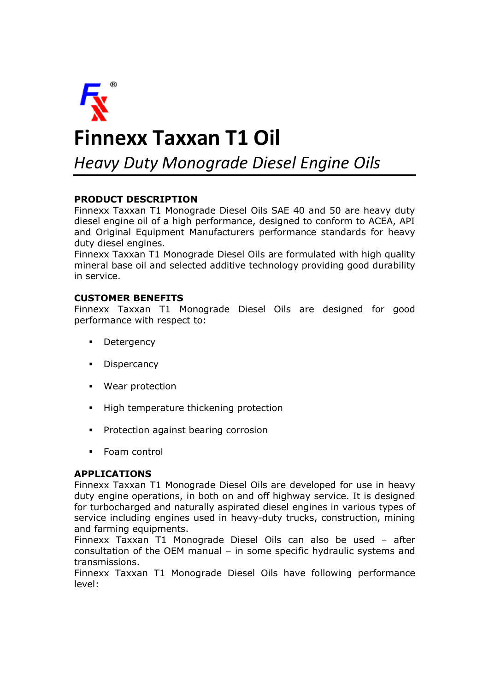

# **Finnexx Taxxan T1 Oil**

*Heavy Duty Monograde Diesel Engine Oils*

## **PRODUCT DESCRIPTION**

Finnexx Taxxan T1 Monograde Diesel Oils SAE 40 and 50 are heavy duty diesel engine oil of a high performance, designed to conform to ACEA, API and Original Equipment Manufacturers performance standards for heavy duty diesel engines.

Finnexx Taxxan T1 Monograde Diesel Oils are formulated with high quality mineral base oil and selected additive technology providing good durability in service.

#### **CUSTOMER BENEFITS**

Finnexx Taxxan T1 Monograde Diesel Oils are designed for good performance with respect to:

- Detergency
- **Dispercancy**
- § Wear protection
- High temperature thickening protection
- § Protection against bearing corrosion
- § Foam control

### **APPLICATIONS**

Finnexx Taxxan T1 Monograde Diesel Oils are developed for use in heavy duty engine operations, in both on and off highway service. It is designed for turbocharged and naturally aspirated diesel engines in various types of service including engines used in heavy-duty trucks, construction, mining and farming equipments.

Finnexx Taxxan T1 Monograde Diesel Oils can also be used – after consultation of the OEM manual – in some specific hydraulic systems and transmissions.

Finnexx Taxxan T1 Monograde Diesel Oils have following performance level: